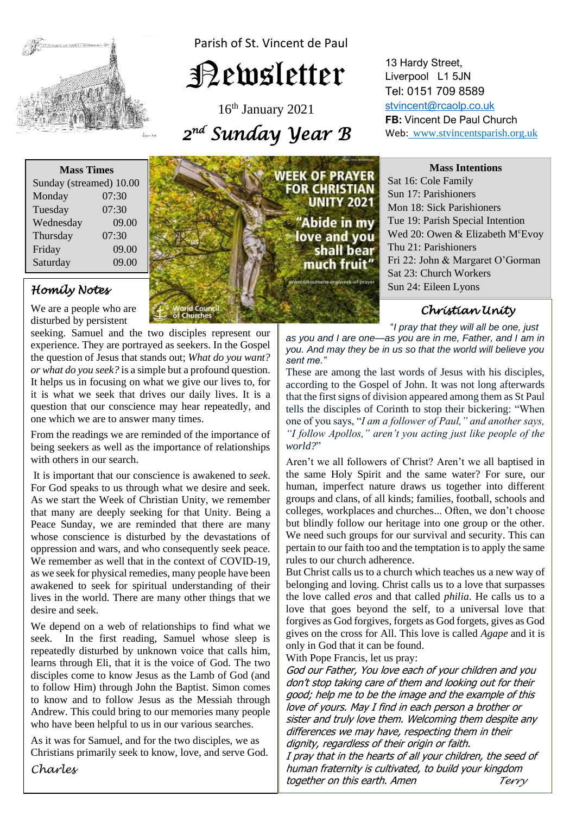

Parish of St. Vincent de Paul

# Newsletter

16th January 2021 *2 nd Sunday Year B* 

| <b>Mass Times</b>       |       |
|-------------------------|-------|
| Sunday (streamed) 10.00 |       |
| Monday                  | 07:30 |
| Tuesday                 | 07:30 |
| Wednesday               | 09.00 |
| Thursday                | 07:30 |
| Friday                  | 09.00 |
| Saturday                | 09.00 |

# *Homily Notes*

We are a people who are disturbed by persistent

**EXAMPLE SEEKING.** Samular and the two discriptes represent our experience. They are portrayed as seekers. In the Gospel  *or what do you seek?* is a simple but a profound question. it is what we seek that drives our daily lives. It is a question that our conscience may hear repeatedly, and seeking. Samuel and the two disciples represent our the question of Jesus that stands out; *What do you want?* It helps us in focusing on what we give our lives to, for it is what we seek that drives our daily lives. It is a one which we are to answer many times.

 $\frac{1}{2}$ 

From the readings we are reminded of the importance of being seekers as well as the importance of relationships with others in our search.

For God speaks to us through what we desire and seek. that many are deeply seeking for that Unity. Being a<br>Peace Sunday, we are reminded that there are many *nhose* conserver is distanced by the devisions of oppression and wars, and who consequently seek peace. as we seek for physical remedies, many people have been<br>avakaned to seek for spiritual understanding of their lives in the world. There are many other things that we desire and seek. It is important that our conscience is awakened to *seek*. As we start the Week of Christian Unity, we remember that many are deeply seeking for that Unity. Being a whose conscience is disturbed by the devastations of We remember as well that in the context of COVID-19, awakened to seek for spiritual understanding of their desire and seek.

we depend on a web of relationships to find what we<br>seek. In the first reading, Samuel whose sleep is *Learns* through Eli, that it is the voice of God. The two discurses agents to learn that Lemb of God (and) to follow Him) infough John the Bapust. Simon comes<br>to know and to follow Jesus as the Messiah through We depend on a web of relationships to find what we repeatedly disturbed by unknown voice that calls him, disciples come to know Jesus as the Lamb of God (and to follow Him) through John the Baptist. Simon comes Andrew. This could bring to our memories many people who have been helpful to us in our various searches.

As it was for Samuel, and for the two disciples, we as Christians primarily seek to know, love, and serve God.

*Charles* 



13 Hardy Street, Liverpool L1 5JN Tel: 0151 709 8589 [stvincent@rcaolp.co.uk](mailto:stvincent@rcaolp.co.uk) **FB:** Vincent De Paul Church Web: www.stvincentsparish.org.uk

#### **Mass Intentions**

Sat 16: Cole Family Sun 17: Parishioners Mon 18: Sick Parishioners Tue 19: Parish Special Intention Wed 20: Owen & Elizabeth M<sup>c</sup>Evoy Thu 21: Parishioners Fri 22: John & Margaret O'Gorman Sat 23: Church Workers Sun 24: Eileen Lyons

## *Christian Unity*

"*I pray that they will all be one, just*

*as you and I are one—as you are in me, Father, and I am in you. And may they be in us so that the world will believe you sent me."*

j

These are among the last words of Jesus with his disciples, according to the Gospel of John. It was not long afterwards that the first signs of division appeared among them as St Paul tells the disciples of Corinth to stop their bickering: "When one of you says, "*I am a follower of Paul," and another says, "I follow Apollos," aren't you acting just like people of the world?*"

Aren't we all followers of Christ? Aren't we all baptised in the same Holy Spirit and the same water? For sure, our human, imperfect nature draws us together into different groups and clans, of all kinds; families, football, schools and colleges, workplaces and churches... Often, we don't choose but blindly follow our heritage into one group or the other. We need such groups for our survival and security. This can pertain to our faith too and the temptation is to apply the same rules to our church adherence.

But Christ calls us to a church which teaches us a new way of belonging and loving. Christ calls us to a love that surpasses the love called *eros* and that called *philia*. He calls us to a love that goes beyond the self, to a universal love that forgives as God forgives, forgets as God forgets, gives as God gives on the cross for All. This love is called *Agape* and it is only in God that it can be found.

With Pope Francis, let us pray:

God our Father, You love each of your children and you don't stop taking care of them and looking out for their good; help me to be the image and the example of this love of yours. May I find in each person a brother or sister and truly love them. Welcoming them despite any differences we may have, respecting them in their dignity, regardless of their origin or faith.

I pray that in the hearts of all your children, the seed of human fraternity is cultivated, to build your kingdom together on this earth. Amen *Terry*